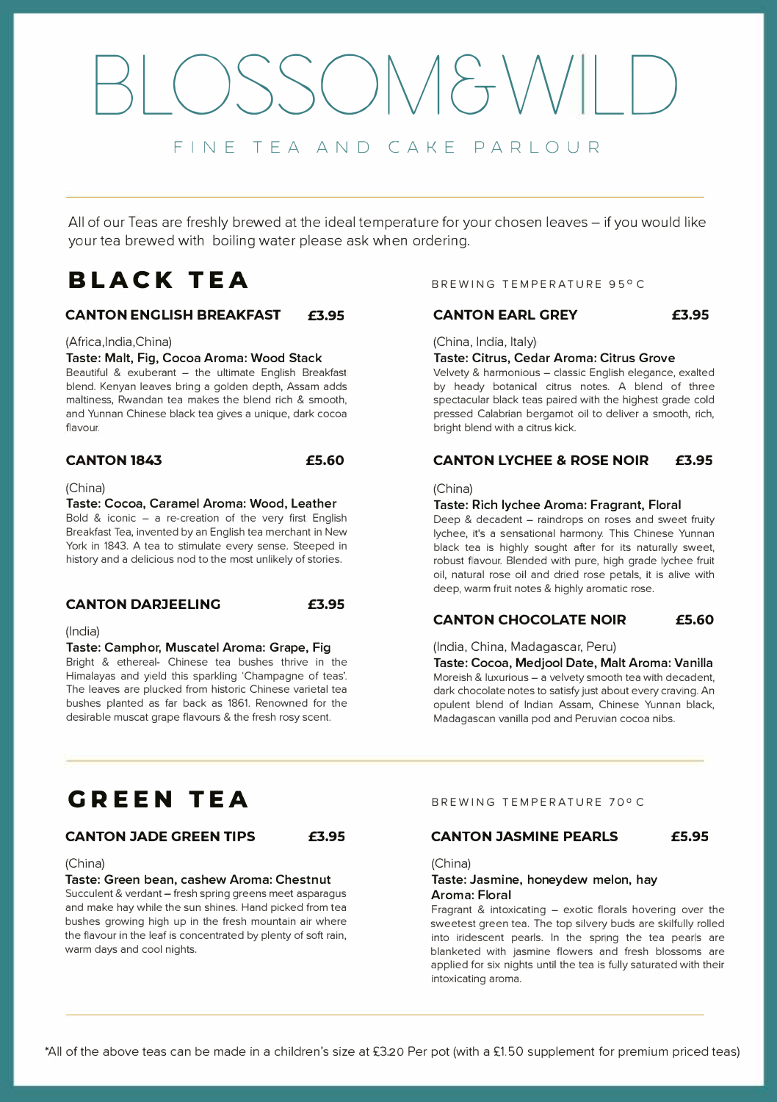## $SONAF_{T}V$ FINE TEA AND CAKE PARLOUR

All of our Teas are freshly brewed at the ideal temperature for your chosen leaves - if you would like your tea brewed with boiling water please ask when ordering.

## **BLACK TEA**

#### **CANTON ENGLISH BREAKFAST £3.95**

#### (Africa,lndia,China)

#### **Taste: Malt, Fig, Cocoa Aroma: Wood Stack**

Beautiful & exuberant  $-$  the ultimate English Breakfast blend. Kenyan leaves bring a golden depth, Assam adds maltiness, Rwandan tea makes the blend rich & smooth, and Yunnan Chinese black tea gives a unique, dark cocoa flavour.

#### **CANTON 1843 £5.60**

#### (China)

Taste: Cocoa, Caramel Aroma: Wood, Leather Bold & iconic  $-$  a re-creation of the very first English Breakfast Tea, invented by an English tea merchant in New York in 1843. A tea to stimulate every sense. Steeped in history and a delicious nod to the most unlikely of stories.

#### **CANTON DARJEELING £3.95**

#### (India)

#### Taste: Camphor, Muscatel Aroma: Grape, Fig

Bright & ethereal- Chinese tea bushes thrive in the Himalayas and yield this sparkling 'Champagne of teas'. The leaves are plucked from historic Chinese varietal tea bushes planted as far back as 1861. Renowned for the desirable muscat grape flavours & the fresh rosy scent.

#### BREWING TEMPERATURE 95° C

#### **CANTON EARL GREY £3.95**

(China, India, Italy)

#### **Taste: Citrus, Cedar Aroma: Citrus Grove**

Velvety & harmonious - classic English elegance, exalted by heady botanical citrus notes. A blend of three spectacular black teas paired with the highest grade cold pressed Calabrian bergamot oil to deliver a smooth, rich, bright blend with a citrus kick.

#### **CANTON LYCHEE & ROSE NOIR £3.95**

#### (China)

#### **Taste: Rich lychee Aroma: Fragrant, Floral**

Deep & decadent - raindrops on roses and sweet fruity lychee, it's a sensational harmony. This Chinese Yunnan black tea is highly sought after for its naturally sweet, robust flavour. Blended with pure, high grade lychee fruit oil, natural rose oil and dried rose petals, it is alive with deep, warm fruit notes & highly aromatic rose.

#### **CANTON CHOCOLATE NOIR £5.60**

#### (India, China, Madagascar, Peru)

**Taste: Cocoa, Medjool Date, Malt Aroma: Vanilla**  Moreish & luxurious - a velvety smooth tea with decadent, dark chocolate notes to satisfy just about every craving. An opulent blend of Indian Assam, Chinese Yunnan black, Madagascan vanilla pod and Peruvian cocoa nibs.

## **CiREEN TEA**

#### **CANTON JADE GREEN TIPS £3.95**

#### (China)

#### Taste: Green bean, cashew Aroma: Chestnut

Succulent & verdant - fresh spring greens meet asparagus and make hay while the sun shines. Hand picked from tea bushes growing high up in the fresh mountain air where the flavour in the leaf is concentrated by plenty of soft rain, warm days and cool nights.

#### BREWING TEMPERATURE 70% C

#### **CANTON JASMINE PEARLS £5.95**

(China)

#### Taste: Jasmine, honeydew melon, hay Aroma: Floral

Fragrant & intoxicating  $-$  exotic florals hovering over the sweetest green tea. The top silvery buds are skilfully rolled into iridescent pearls. In the spring the tea pearls are blanketed with jasmine flowers and fresh blossoms are applied for six nights until the tea is fully saturated with their intoxicating aroma.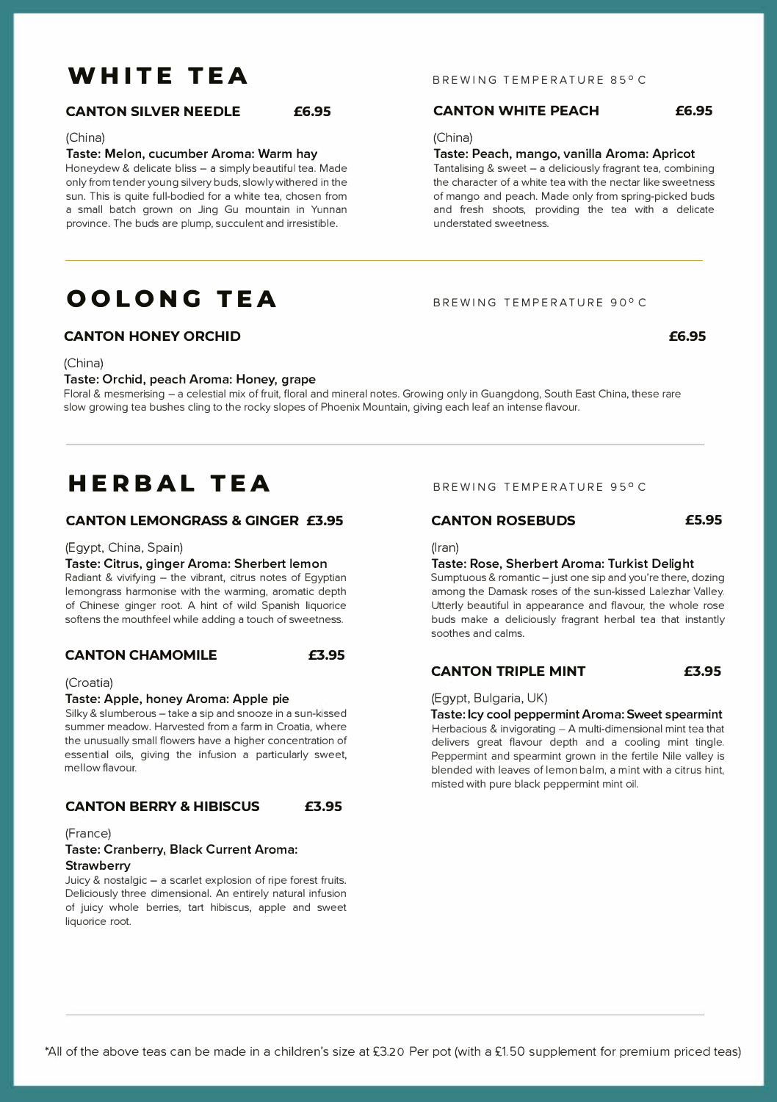## **WHITE TEA**

#### **CANTON SILVER NEEDLE £6.95**

#### (China)

Taste: Melon, cucumber Aroma: Warm hay

Honeydew & delicate bliss - a simply beautiful tea. Made only from tender young silvery buds, slowly withered in the sun. This is quite full-bodied for a white tea, chosen from a small batch grown on Jing Gu mountain in Yunnan province. The buds are plump, succulent and irresistible.

## **OOLONCi TEA**

#### **CANTON HONEY ORCHID**

(China)

#### Taste: Orchid, peach Aroma: Honey, grape

Floral & mesmerising -a celestial mix of fruit, floral and mineral notes. Growing only in Guangdong, South East China, these rare slow growing tea bushes cling to the rocky slopes of Phoenix Mountain, giving each leaf an intense flavour.

### **HERBAL TEA**

#### **CANTON LEMONGRASS** & **GINGER £3.95**

(Egypt, China, Spain)

#### Taste: Citrus, ginger Aroma: Sherbert lemon

Radiant & vivifying - the vibrant, citrus notes of Egyptian lemongrass harmonise with the warming, aromatic depth of Chinese ginger root. A hint of wild Spanish liquorice softens the mouthfeel while adding a touch of sweetness.

#### **CANTON CHAMOMILE £3.95**

#### (Croatia)

#### Taste: Apple, honey Aroma: Apple pie

Silky & slumberous - take a sip and snooze in a sun-kissed summer meadow. Harvested from a farm in Croatia, where the unusually small flowers have a higher concentration of essential oils, giving the infusion a particularly sweet, mellow flavour.

#### **CANTON BERRY & HIBISCUS £3.95**

(France)

#### Taste: Cranberry, Black Current Aroma: **Strawberry**

Juicy & nostalgic - a scarlet explosion of ripe forest fruits. Deliciously three dimensional. An entirely natural infusion of juicy whole berries, tart hibiscus, apple and sweet liquorice root.

BREWING TEMPERATURE 90°C

#### BREWING TEMPERATURE 95° C

#### **CANTON ROSEBUDS £5.95**

(Iran)

#### Taste: Rose, Sherbert Aroma: Turkist Delight

Sumptuous & romantic - just one sip and you're there, dozing among the Damask roses of the sun-kissed Lalezhar Valley. Utterly beautiful in appearance and flavour, the whole rose buds make a deliciously fragrant herbal tea that instantly soothes and calms.

#### **CANTON TRIPLE MINT £3.95**

#### (Egypt, Bulgaria, UK)

Taste: Icy cool peppermint Aroma: Sweet spearmint Herbacious & invigorating - A multi-dimensional mint tea that delivers great flavour depth and a cooling mint tingle. Peppermint and spearmint grown in the fertile Nile valley is blended with leaves of lemon balm, a mint with a citrus hint, misted with pure black peppermint mint oil.

#### BREWING TEMPERATURE 85°C

Taste: Peach, mango, vanilla Aroma: Apricot Tantalising & sweet - a deliciously fragrant tea, combining the character of a white tea with the nectar like sweetness of mango and peach. Made only from spring-picked buds and fresh shoots, providing the tea with a delicate

#### **CANTON WHITE PEACH £6.95**

understated sweetness.

(China)

'All of the above teas can be made in a children's size at £3.20 Per pot (with a £1.50 supplement for premium priced teas)

**£6.95**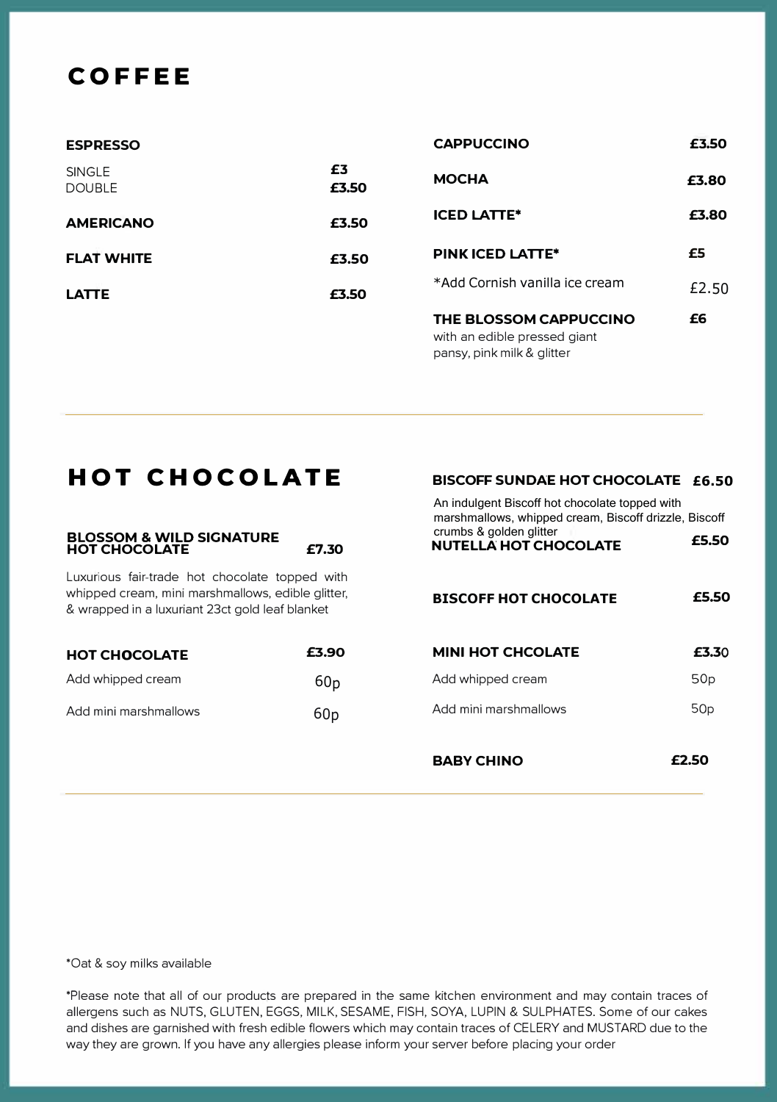## **COFFEE**

| <b>ESPRESSO</b>                |             | <b>CAPPUCCINO</b>                                      | £3.50 |
|--------------------------------|-------------|--------------------------------------------------------|-------|
| <b>SINGLE</b><br><b>DOUBLE</b> | £3<br>£3.50 | <b>MOCHA</b>                                           | £3.80 |
| <b>AMERICANO</b>               | £3.50       | <b>ICED LATTE*</b>                                     | £3.80 |
| <b>FLAT WHITE</b>              | £3.50       | PINK ICED LATTE*                                       | £5    |
| <b>LATTE</b>                   | £3.50       | *Add Cornish vanilla ice cream                         | £2.50 |
|                                |             | THE BLOSSOM CAPPUCCINO<br>with an edible pressed giant | £6    |

pansy, pink milk & glitter

## **HOT CHOCOLATE**

## **BLOSSOM & WILD SIGNATURE HOT CHOCOLATE** £7.30

& wrapped in a luxuriant 23ct gold leaf blanket

Luxurious fair-trade hot chocolate topped with whipped cream, mini marshmallows, edible glitter,

| <b>HOT CHOCOLATE</b>  | £3.90           |
|-----------------------|-----------------|
| Add whipped cream     | 60 <sub>D</sub> |
| Add mini marshmallows | 60 <sub>D</sub> |

#### **BISCOFF SUNDAE HOT CHOCOLATE £6.50**

| An indulgent Biscoff hot chocolate topped with<br>marshmallows, whipped cream, Biscoff drizzle, Biscoff<br>crumbs & golden glitter<br><b>NUTELLA HOT CHOCOLATE</b> | £5.50           |
|--------------------------------------------------------------------------------------------------------------------------------------------------------------------|-----------------|
| <b>BISCOFF HOT CHOCOLATE</b>                                                                                                                                       | £5.50           |
| MINI HOT CHCOLATE                                                                                                                                                  | £3.30           |
| Add whipped cream                                                                                                                                                  | 50p             |
| Add mini marshmallows                                                                                                                                              | 50 <sub>p</sub> |
|                                                                                                                                                                    |                 |
| <b>BABY CHINO</b>                                                                                                                                                  |                 |

'Oat & soy milks available

'Please note that all of our products are prepared in the same kitchen environment and may contain traces of allergens such as NUTS, GLUTEN. EGGS, MILK. SESAME. FISH, SOYA. LUPIN & SULPHATES. Some of our cakes and dishes are garnished with fresh edible fiowers which may contain traces of CELERY and MUSTARD due to the way they are grown. If you have any allergies please inform your server before placing your order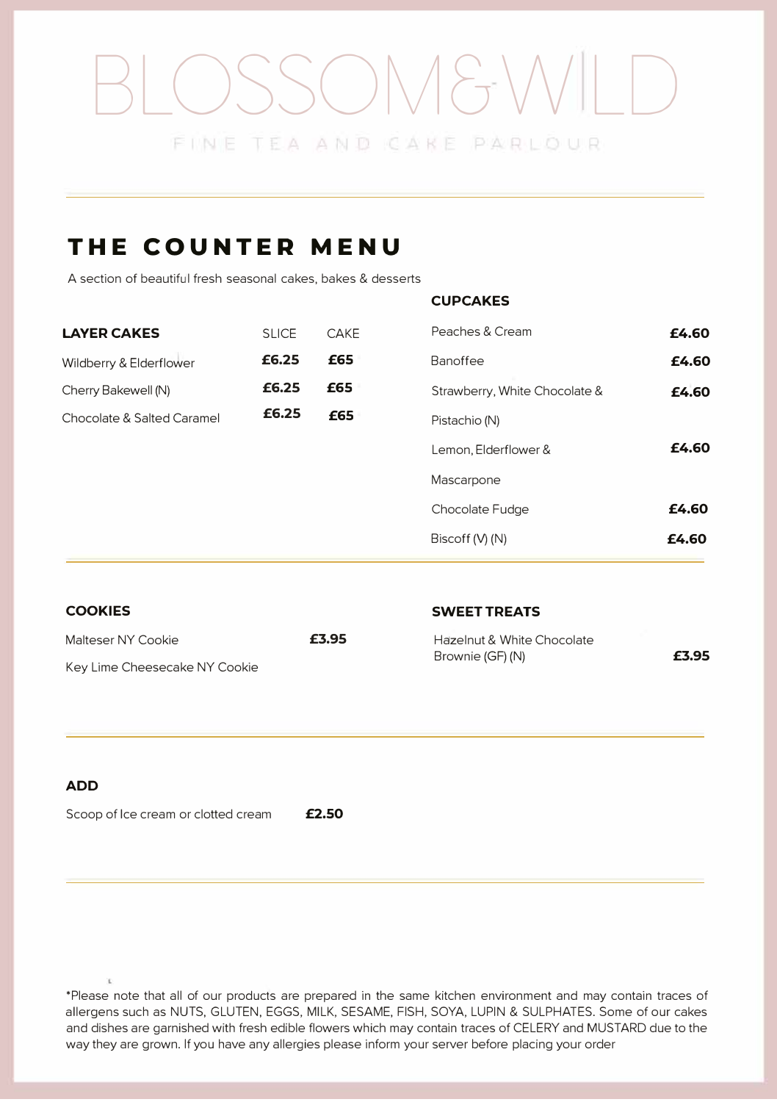## OSSOM&WL

## **THE COUNTER MENU**

A section of beautiful fresh seasonal cakes, bakes & desserts

#### **CUPCAKES**

| <b>LAYER CAKES</b>         | <b>SLICE</b> | CAKE | Peaches & Cream               | £4.60 |
|----------------------------|--------------|------|-------------------------------|-------|
| Wildberry & Elderflower    | £6.25        | £65  | Banoffee                      | £4.60 |
| Cherry Bakewell (N)        | £6.25        | £65  | Strawberry, White Chocolate & | £4.60 |
| Chocolate & Salted Caramel | £6.25        | £65  | Pistachio (N)                 |       |
|                            |              |      | Lemon, Elderflower &          | £4.60 |
|                            |              |      | Mascarpone                    |       |
|                            |              |      | Chocolate Fudge               | £4.60 |
|                            |              |      | Biscoff (V) (N)               | £4.60 |

| <b>COOKIES</b>                                      |       | <b>SWEET TREATS</b>                            |       |  |
|-----------------------------------------------------|-------|------------------------------------------------|-------|--|
| Malteser NY Cookie<br>Key Lime Cheesecake NY Cookie | £3.95 | Hazelnut & White Chocolate<br>Brownie (GF) (N) | £3.95 |  |
|                                                     |       |                                                |       |  |

#### **ADD**

Scoop of Ice cream or clotted cream **£2.50** 

'Please note that all of our products are prepared in the same kitchen environment and may contain traces of allergens such as NUTS, GLUTEN, EGGS, MILK, SESAME, FISH, SOYA, LUPIN & SULPHATES. Some of our cakes and dishes are garnished with fresh edible fiowers which may contain traces of CELERY and MUSTARD due to the way they are grown. If you have any allergies please inform your server before placing your order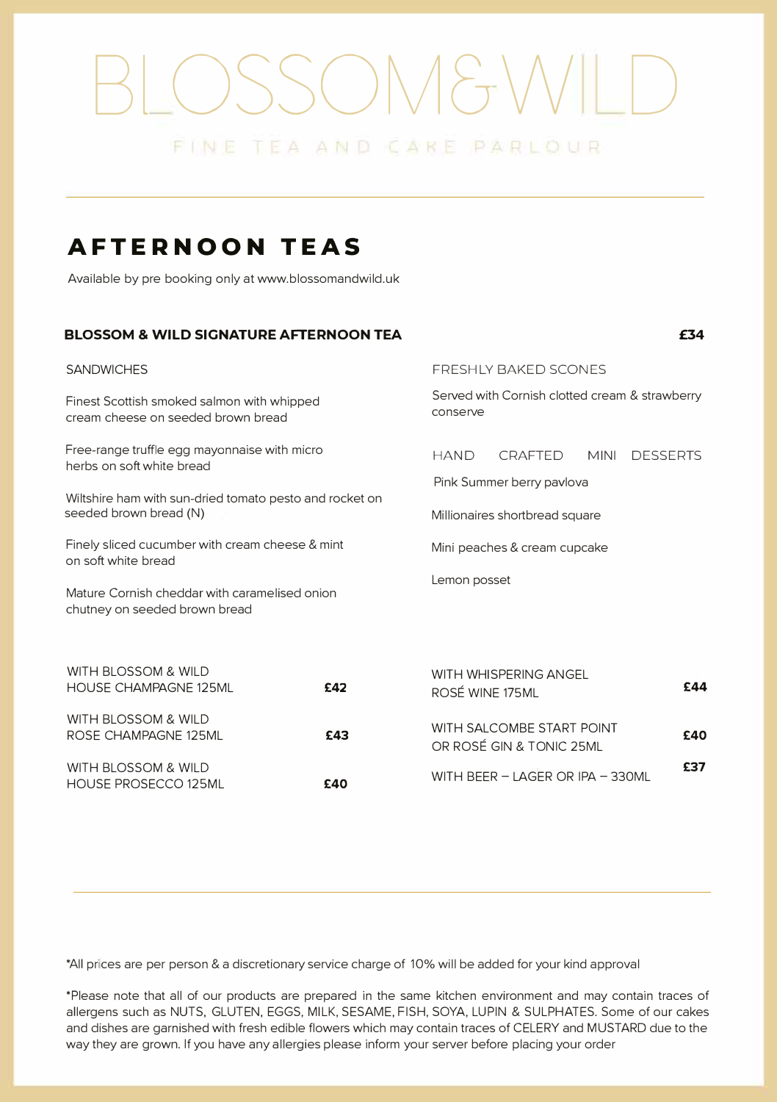# OSSOM&WILD

## **AFTERNOON TEAS**

HOUSE PROSECC0125ML **£40** 

Available by pre booking only at www.blossomandwild.uk

#### **BLOSSOM & WILD SIGNATURE AFTERNOON TEA**

**£34**

| <b>SANDWICHES</b>                                                                                                                    |     | <b>FRESHLY BAKED SCONES</b>                                                                  |  |  |  |
|--------------------------------------------------------------------------------------------------------------------------------------|-----|----------------------------------------------------------------------------------------------|--|--|--|
| Finest Scottish smoked salmon with whipped<br>cream cheese on seeded brown bread                                                     |     | Served with Cornish clotted cream & strawberry<br>conserve                                   |  |  |  |
| Free-range truffle egg mayonnaise with micro<br>herbs on soft white bread<br>Wiltshire ham with sun-dried tomato pesto and rocket on |     | <b>HAND</b><br><b>CRAFTED</b><br><b>MINI</b><br><b>DESSERTS</b><br>Pink Summer berry pavlova |  |  |  |
| seeded brown bread (N)                                                                                                               |     | Millionaires shortbread square                                                               |  |  |  |
| Finely sliced cucumber with cream cheese & mint<br>on soft white bread                                                               |     | Mini peaches & cream cupcake                                                                 |  |  |  |
| Mature Cornish cheddar with caramelised onion<br>chutney on seeded brown bread                                                       |     | Lemon posset                                                                                 |  |  |  |
| WITH BLOSSOM & WILD<br><b>HOUSE CHAMPAGNE 125ML</b>                                                                                  | £42 | WITH WHISPERING ANGEL<br>£44<br>ROSÉ WINE 175ML                                              |  |  |  |
| WITH BLOSSOM & WILD<br>ROSE CHAMPAGNE 125ML                                                                                          | £43 | WITH SALCOMBE START POINT<br>£40<br>OR ROSÉ GIN & TONIC 25ML                                 |  |  |  |
| WITH BLOSSOM & WILD<br><b>CAO</b><br>LIOLICE DDOCECCO 12EMI                                                                          |     | £37<br>WITH BEER - LAGER OR IPA - 330ML                                                      |  |  |  |

'All prices are per person & a discretionary service charge of 10% will be added for your kind approval

'Please note that all of our products are prepared in the same kitchen environment and may contain traces of allergens such as NUTS, GLUTEN, EGGS, MILK, SESAME, FISH, SOYA, LUPIN & SULPHATES. Some of our cakes and dishes are garnished with fresh edible fiowers which may contain traces of CELERY and MUSTARD due to the way they are grown. If you have any allergies please inform your server before placing your order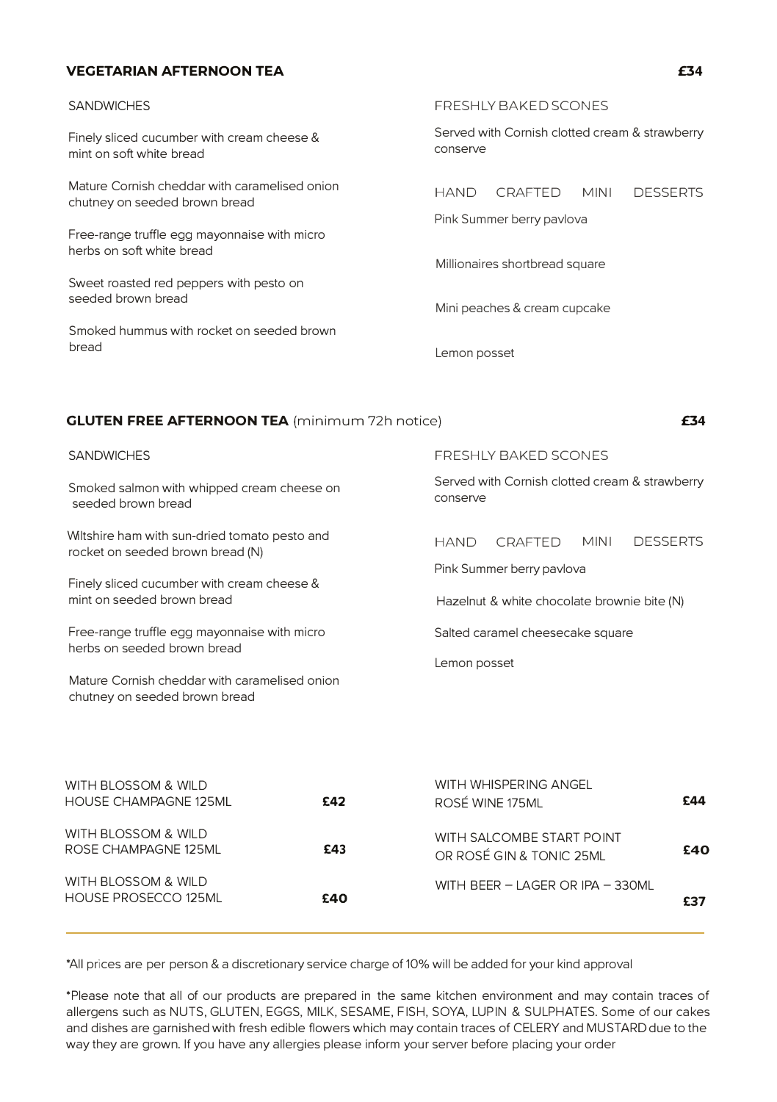#### **VEGETARIAN AFTERNOON TEA**

| <b>SANDWICHES</b>                                                              | <b>FRESHLY BAKED SCONES</b>                                                    |                           |             |                 |
|--------------------------------------------------------------------------------|--------------------------------------------------------------------------------|---------------------------|-------------|-----------------|
| Finely sliced cucumber with cream cheese &<br>mint on soft white bread         | Served with Cornish clotted cream & strawberry<br>conserve                     |                           |             |                 |
| Mature Cornish cheddar with caramelised onion<br>chutney on seeded brown bread | <b>HAND</b>                                                                    | CRAFTED                   | <b>MINI</b> | <b>DESSERTS</b> |
|                                                                                |                                                                                | Pink Summer berry pavlova |             |                 |
| Free-range truffle egg mayonnaise with micro<br>herbs on soft white bread      |                                                                                |                           |             |                 |
| Sweet roasted red peppers with pesto on                                        |                                                                                |                           |             |                 |
| seeded brown bread                                                             |                                                                                |                           |             |                 |
| Smoked hummus with rocket on seeded brown<br>bread                             |                                                                                |                           |             |                 |
|                                                                                | Millionaires shortbread square<br>Mini peaches & cream cupcake<br>Lemon posset |                           |             |                 |

| <b>GLUTEN FREE AFTERNOON TEA</b> (minimum 72h notice)                             |                                                                                       |  |
|-----------------------------------------------------------------------------------|---------------------------------------------------------------------------------------|--|
| <b>SANDWICHES</b>                                                                 | <b>FRESHLY BAKED SCONES</b>                                                           |  |
| Smoked salmon with whipped cream cheese on<br>seeded brown bread                  | Served with Cornish clotted cream & strawberry<br>conserve                            |  |
| Wiltshire ham with sun-dried tomato pesto and<br>rocket on seeded brown bread (N) | <b>MINI</b><br><b>DESSERTS</b><br>CRAFTED<br><b>HAND</b><br>Pink Summer berry pavlova |  |
| Finely sliced cucumber with cream cheese &<br>mint on seeded brown bread          | Hazelnut & white chocolate brownie bite (N)                                           |  |
| Free-range truffle egg mayonnaise with micro<br>herbs on seeded brown bread       | Salted caramel cheesecake square                                                      |  |
| Mature Cornish cheddar with caramelised onion<br>chutney on seeded brown bread    | Lemon posset                                                                          |  |

| WITH BLOSSOM & WILD<br><b>HOUSE CHAMPAGNE 125ML</b> | £42 | WITH WHISPERING ANGEL<br>ROSÉ WINE 175ML              | £44 |
|-----------------------------------------------------|-----|-------------------------------------------------------|-----|
| WITH BLOSSOM & WILD<br>ROSE CHAMPAGNE 125ML         | £43 | WITH SALCOMBE START POINT<br>OR ROSÉ GIN & TONIC 25ML | £40 |
| WITH BLOSSOM & WILD<br>HOUSE PROSECCO 125ML         | £40 | WITH BEER - LAGER OR IPA - 330ML                      | £37 |

'All prices are per person & a discretionary service charge of 10% will be added for your kind approval

'Please note that all of our products are prepared in the same kitchen environment and may contain traces of allergens such as NUTS, GLUTEN, EGGS, MILK, SESAME, FISH, SOYA, LUPIN & SULPHATES. Some of our cakes and dishes are garnished with fresh edible fiowers which may contain traces of CELERY and MUSTARDdue to the way they are grown. If you have any allergies please inform your server before placing your order

#### **£34**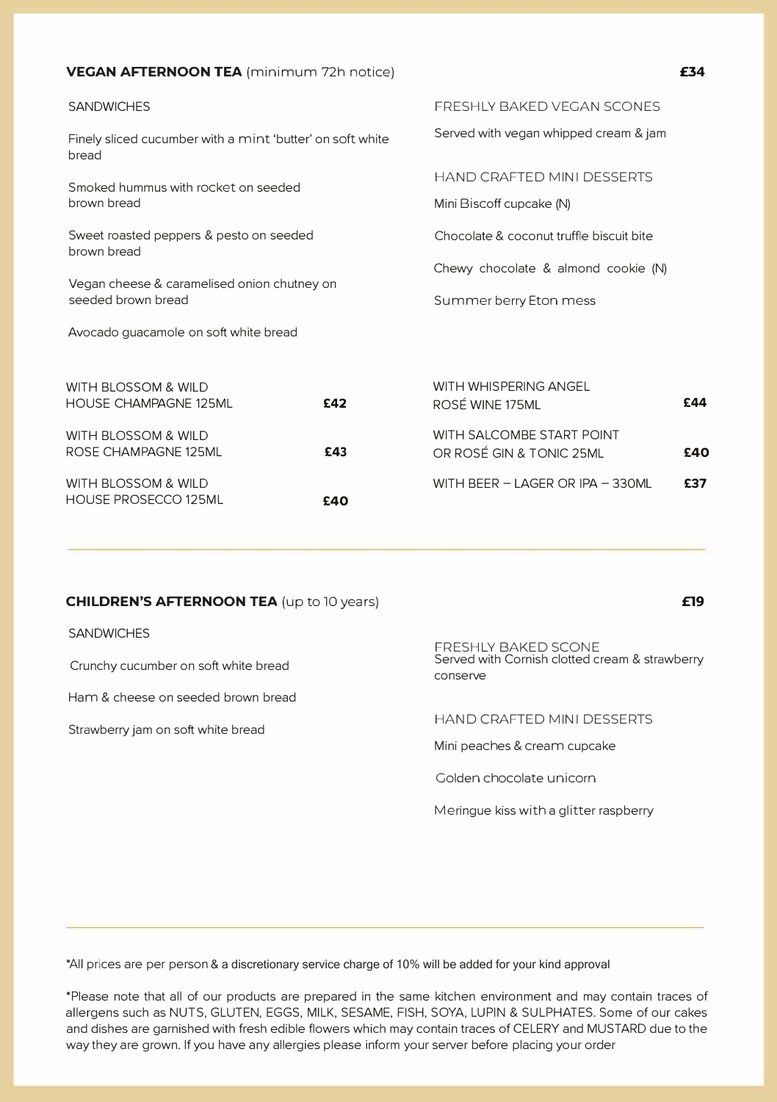| VEGAN AFTERNOON TEA (minimum 72h notice) |  |  |
|------------------------------------------|--|--|
|------------------------------------------|--|--|

| <b>SANDWICHES</b>                                                  |     | FRESHLY BAKED VEGAN SCONES                                    |     |  |  |
|--------------------------------------------------------------------|-----|---------------------------------------------------------------|-----|--|--|
| Finely sliced cucumber with a mint 'butter' on soft white<br>bread |     | Served with vegan whipped cream & jam                         |     |  |  |
| Smoked hummus with rocket on seeded<br>brown bread                 |     | <b>HAND CRAFTED MINI DESSERTS</b><br>Mini Biscoff cupcake (N) |     |  |  |
| Sweet roasted peppers & pesto on seeded<br>brown bread             |     | Chocolate & coconut truffle biscuit bite                      |     |  |  |
| Vegan cheese & caramelised onion chutney on<br>seeded brown bread  |     | Chewy chocolate & almond cookie (N)<br>Summer berry Eton mess |     |  |  |
| Avocado guacamole on soft white bread                              |     |                                                               |     |  |  |
| WITH BLOSSOM & WILD<br><b>HOUSE CHAMPAGNE 125ML</b>                | £42 | WITH WHISPERING ANGEL<br>ROSÉ WINE 175ML                      | £44 |  |  |
| WITH BLOSSOM & WILD<br>ROSE CHAMPAGNE 125ML                        | £43 | WITH SALCOMBE START POINT<br>OR ROSÉ GIN & TONIC 25ML         | £40 |  |  |
| WITH BLOSSOM & WILD                                                |     | WITH BEER - LAGER OR IPA - 330ML<br>£37                       |     |  |  |

**£40**

#### **CHILDREN'S AFTERNOON TEA** (up to 10 years)

#### **SANDWICHES**

HOUSE PROSECC0125ML

Crunchy cucumber on soft white bread

Ham & cheese on seeded brown bread

Strawberry jam on soft white bread

#### FRESHLY BAKED SCONE Served with Cornish clotted cream & strawberry conserve

HAND CRAFTED MINI DESSERTS

Mini peaches & cream cupcake

Golden chocolate unicorn

Meringue kiss with a glitter raspberry

'All prices are per person & a discretionary service charge of 10% will be added for your kind approval

'Please note that all of our products are prepared in the same kitchen environment and may contain traces of allergens such as NUTS, GLUTEN, EGGS, MILK, SESAME, FISH, SOYA, LUPIN & SULPHATES. Some of our cakes and dishes are garnished with fresh edible fiowers which may contain traces of CELERY and MUSTARD due to the way they are grown. If you have any allergies please inform your server before placing your order

**£19**